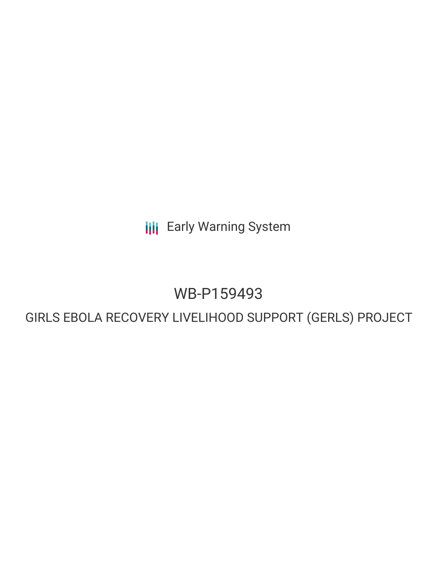**III** Early Warning System

# WB-P159493

## GIRLS EBOLA RECOVERY LIVELIHOOD SUPPORT (GERLS) PROJECT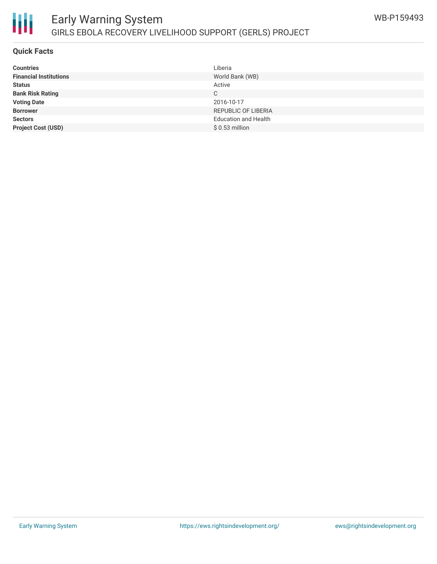

### **Quick Facts**

冊

| <b>Countries</b>              | Liberia                     |
|-------------------------------|-----------------------------|
| <b>Financial Institutions</b> | World Bank (WB)             |
| <b>Status</b>                 | Active                      |
| <b>Bank Risk Rating</b>       | С                           |
| <b>Voting Date</b>            | 2016-10-17                  |
| <b>Borrower</b>               | <b>REPUBLIC OF LIBERIA</b>  |
| <b>Sectors</b>                | <b>Education and Health</b> |
| <b>Project Cost (USD)</b>     | $$0.53$ million             |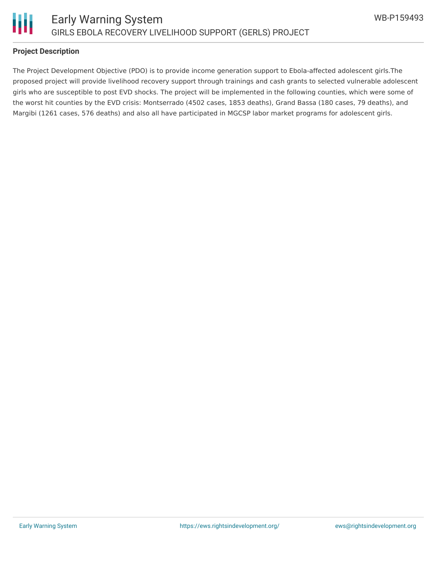

### **Project Description**

The Project Development Objective (PDO) is to provide income generation support to Ebola-affected adolescent girls.The proposed project will provide livelihood recovery support through trainings and cash grants to selected vulnerable adolescent girls who are susceptible to post EVD shocks. The project will be implemented in the following counties, which were some of the worst hit counties by the EVD crisis: Montserrado (4502 cases, 1853 deaths), Grand Bassa (180 cases, 79 deaths), and Margibi (1261 cases, 576 deaths) and also all have participated in MGCSP labor market programs for adolescent girls.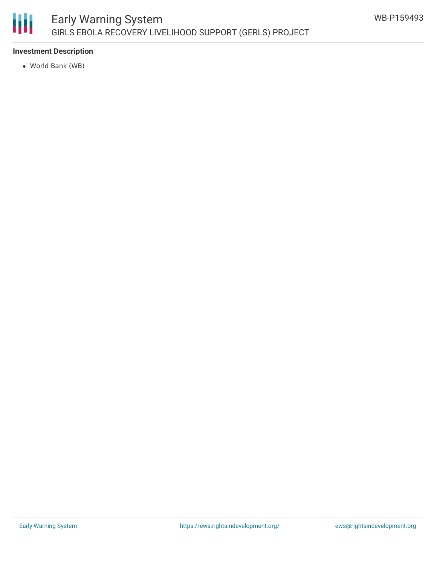

### Early Warning System GIRLS EBOLA RECOVERY LIVELIHOOD SUPPORT (GERLS) PROJECT

### **Investment Description**

World Bank (WB)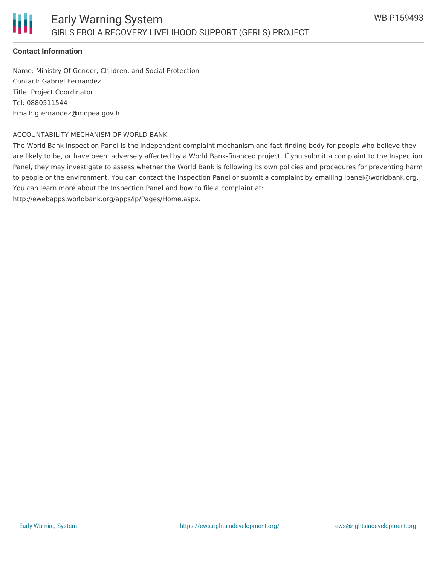### **Contact Information**

Name: Ministry Of Gender, Children, and Social Protection Contact: Gabriel Fernandez Title: Project Coordinator Tel: 0880511544 Email: gfernandez@mopea.gov.lr

### ACCOUNTABILITY MECHANISM OF WORLD BANK

The World Bank Inspection Panel is the independent complaint mechanism and fact-finding body for people who believe they are likely to be, or have been, adversely affected by a World Bank-financed project. If you submit a complaint to the Inspection Panel, they may investigate to assess whether the World Bank is following its own policies and procedures for preventing harm to people or the environment. You can contact the Inspection Panel or submit a complaint by emailing ipanel@worldbank.org. You can learn more about the Inspection Panel and how to file a complaint at:

http://ewebapps.worldbank.org/apps/ip/Pages/Home.aspx.